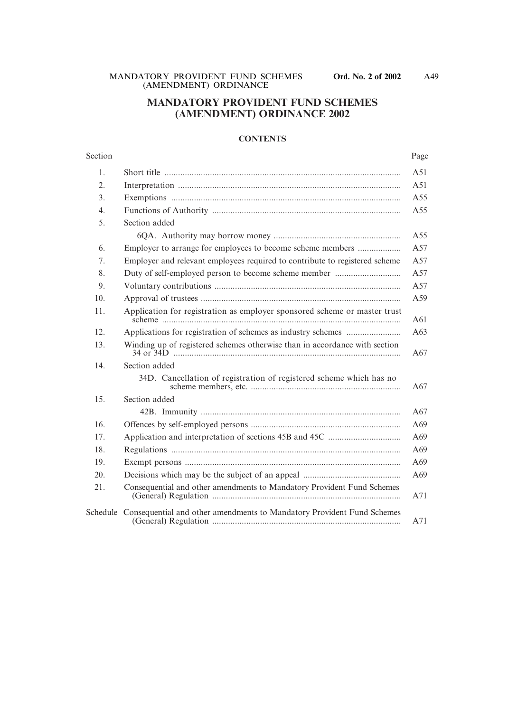# **MANDATORY PROVIDENT FUND SCHEMES (AMENDMENT) ORDINANCE 2002**

## **CONTENTS**

| Section        |                                                                                 | Page |
|----------------|---------------------------------------------------------------------------------|------|
| 1.             |                                                                                 | A51  |
| 2.             |                                                                                 | A51  |
| 3 <sub>1</sub> |                                                                                 | A55  |
| 4.             |                                                                                 | A55  |
| 5.             | Section added                                                                   |      |
|                |                                                                                 | A55  |
| 6.             | Employer to arrange for employees to become scheme members                      | A57  |
| 7.             | Employer and relevant employees required to contribute to registered scheme     | A57  |
| 8.             | Duty of self-employed person to become scheme member                            | A57  |
| 9.             |                                                                                 | A57  |
| 10.            |                                                                                 | A59  |
| 11.            | Application for registration as employer sponsored scheme or master trust       | A61  |
| 12.            |                                                                                 | A63  |
| 13.            | Winding up of registered schemes otherwise than in accordance with section      | A67  |
| 14.            | Section added                                                                   |      |
|                | 34D. Cancellation of registration of registered scheme which has no             | A67  |
| 15.            | Section added                                                                   |      |
|                |                                                                                 | A67  |
| 16.            |                                                                                 | A69  |
| 17.            |                                                                                 | A69  |
| 18.            |                                                                                 | A69  |
| 19.            |                                                                                 | A69  |
| 20.            |                                                                                 | A69  |
| 21.            | Consequential and other amendments to Mandatory Provident Fund Schemes          | A71  |
|                | Schedule Consequential and other amendments to Mandatory Provident Fund Schemes | A71  |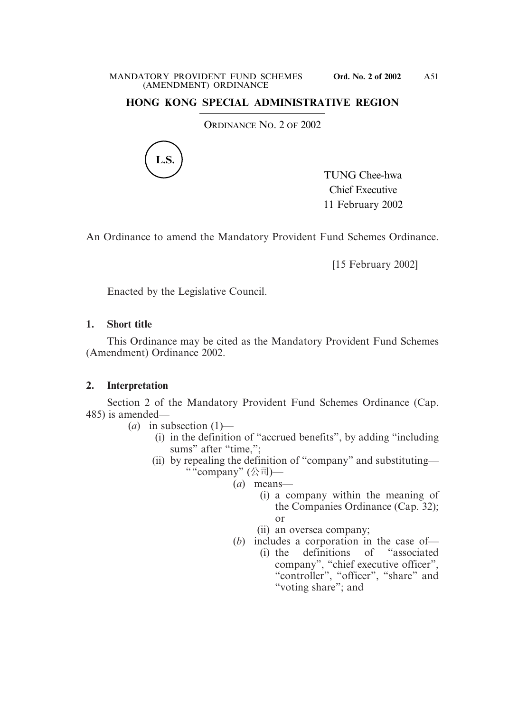# **HONG KONG SPECIAL ADMINISTRATIVE REGION**

ORDINANCE NO. 2 OF 2002



TUNG Chee-hwa Chief Executive 11 February 2002

An Ordinance to amend the Mandatory Provident Fund Schemes Ordinance.

[15 February 2002]

Enacted by the Legislative Council.

## **1. Short title**

This Ordinance may be cited as the Mandatory Provident Fund Schemes (Amendment) Ordinance 2002.

# **2. Interpretation**

Section 2 of the Mandatory Provident Fund Schemes Ordinance (Cap. 485) is amended—

- $(a)$  in subsection  $(1)$ 
	- (i) in the definition of "accrued benefits", by adding "including sums" after "time,";
	- (ii) by repealing the definition of "company" and substituting— ""company" (公司)—
		- (*a*) means—
			- (i) a company within the meaning of the Companies Ordinance (Cap. 32); or
			- (ii) an oversea company;
		- (*b*) includes a corporation in the case of—
			- (i) the definitions of "associated company", "chief executive officer", "controller", "officer", "share" and "voting share"; and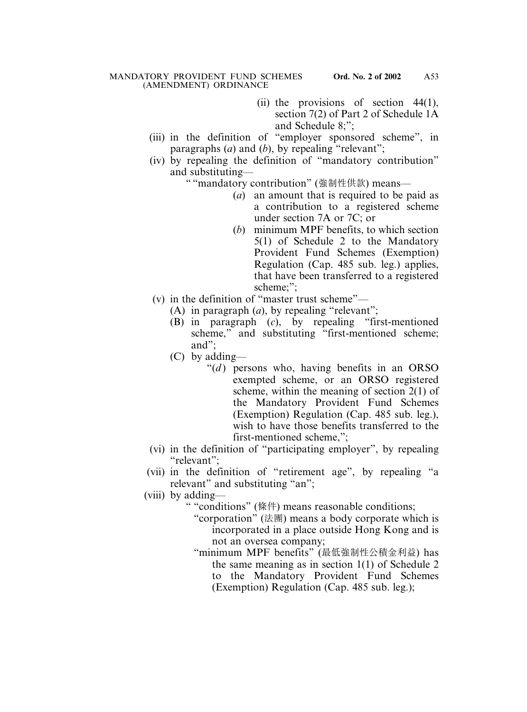- (ii) the provisions of section 44(1), section 7(2) of Part 2 of Schedule 1A and Schedule 8;";
- (iii) in the definition of "employer sponsored scheme", in paragraphs (*a*) and (*b*), by repealing "relevant";
- (iv) by repealing the definition of "mandatory contribution" and substituting—

" "mandatory contribution" (強制性供款) means—

- (*a*) an amount that is required to be paid as a contribution to a registered scheme under section 7A or 7C; or
- (*b*) minimum MPF benefits, to which section 5(1) of Schedule 2 to the Mandatory Provident Fund Schemes (Exemption) Regulation (Cap. 485 sub. leg.) applies, that have been transferred to a registered scheme:":
- (v) in the definition of "master trust scheme"—
	- (A) in paragraph (*a*), by repealing "relevant";
	- (B) in paragraph (*c*), by repealing "first-mentioned scheme," and substituting "first-mentioned scheme; and";
	- (C) by adding—
		- " $(d)$  persons who, having benefits in an ORSO" exempted scheme, or an ORSO registered scheme, within the meaning of section 2(1) of the Mandatory Provident Fund Schemes (Exemption) Regulation (Cap. 485 sub. leg.), wish to have those benefits transferred to the first-mentioned scheme,";
- (vi) in the definition of "participating employer", by repealing "relevant";
- (vii) in the definition of "retirement age", by repealing "a relevant" and substituting "an";
- (viii) by adding—
	- " "conditions" (條件) means reasonable conditions;
		- " "corporation" (法團) means a body corporate which is incorporated in a place outside Hong Kong and is not an oversea company;
		- " "minimum MPF benefits" (最低強制性公積金利益) has the same meaning as in section 1(1) of Schedule 2 to the Mandatory Provident Fund Schemes (Exemption) Regulation (Cap. 485 sub. leg.);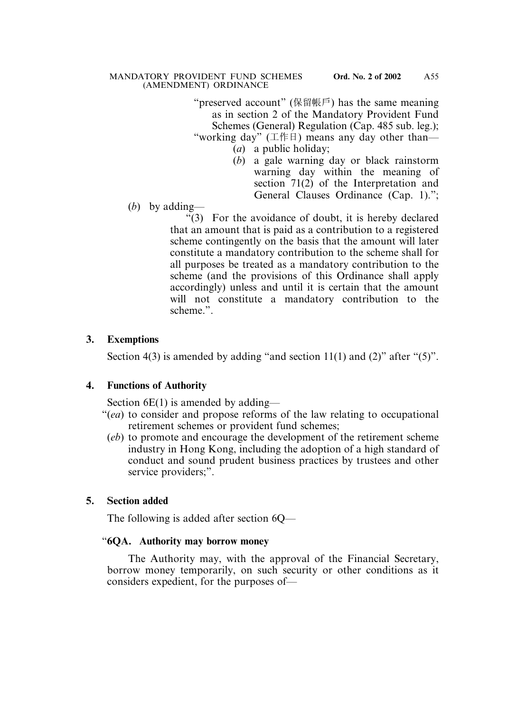" preserved account" (保留帳戶) has the same meaning as in section 2 of the Mandatory Provident Fund Schemes (General) Regulation (Cap. 485 sub. leg.);

"working day"  $(\bot \nleftrightarrow \bot)$  means any day other than-

- (*a*) a public holiday;
- (*b*) a gale warning day or black rainstorm warning day within the meaning of section 71(2) of the Interpretation and General Clauses Ordinance (Cap. 1).";
- (*b*) by adding—

"(3) For the avoidance of doubt, it is hereby declared that an amount that is paid as a contribution to a registered scheme contingently on the basis that the amount will later constitute a mandatory contribution to the scheme shall for all purposes be treated as a mandatory contribution to the scheme (and the provisions of this Ordinance shall apply accordingly) unless and until it is certain that the amount will not constitute a mandatory contribution to the scheme.".

# **3. Exemptions**

Section 4(3) is amended by adding "and section  $11(1)$  and  $(2)$ " after " $(5)$ ".

## **4. Functions of Authority**

Section  $6E(1)$  is amended by adding—

- "(*ea*) to consider and propose reforms of the law relating to occupational retirement schemes or provident fund schemes;
	- (*eb*) to promote and encourage the development of the retirement scheme industry in Hong Kong, including the adoption of a high standard of conduct and sound prudent business practices by trustees and other service providers;".

# **5. Section added**

The following is added after section 6Q—

# "**6QA. Authority may borrow money**

The Authority may, with the approval of the Financial Secretary, borrow money temporarily, on such security or other conditions as it considers expedient, for the purposes of—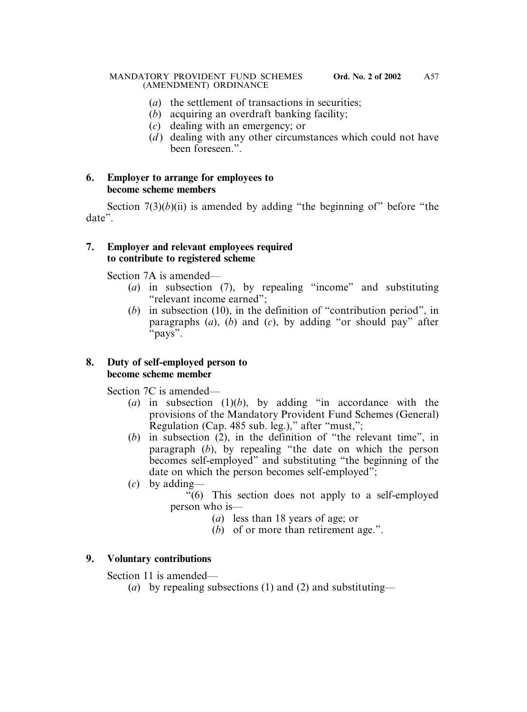- (*a*) the settlement of transactions in securities;
- (*b*) acquiring an overdraft banking facility;
- (*c*) dealing with an emergency; or
- $(d)$  dealing with any other circumstances which could not have been foreseen.".

## **6. Employer to arrange for employees to become scheme members**

Section  $7(3)(b)(ii)$  is amended by adding "the beginning of" before "the date".

## **7. Employer and relevant employees required to contribute to registered scheme**

Section 7A is amended—

- (*a*) in subsection (7), by repealing "income" and substituting "relevant income earned";
- (*b*) in subsection (10), in the definition of "contribution period", in paragraphs (*a*), (*b*) and (*c*), by adding "or should pay" after "pays".

## **8. Duty of self-employed person to become scheme member**

Section 7C is amended—

- (*a*) in subsection (1)(*b*), by adding "in accordance with the provisions of the Mandatory Provident Fund Schemes (General) Regulation (Cap. 485 sub. leg.)," after "must,";
- (*b*) in subsection (2), in the definition of "the relevant time", in paragraph (*b*), by repealing "the date on which the person becomes self-employed" and substituting "the beginning of the date on which the person becomes self-employed";
- (*c*) by adding—

"(6) This section does not apply to a self-employed person who is—

- (*a*) less than 18 years of age; or
- (*b*) of or more than retirement age.".

# **9. Voluntary contributions**

Section 11 is amended—

(*a*) by repealing subsections (1) and (2) and substituting—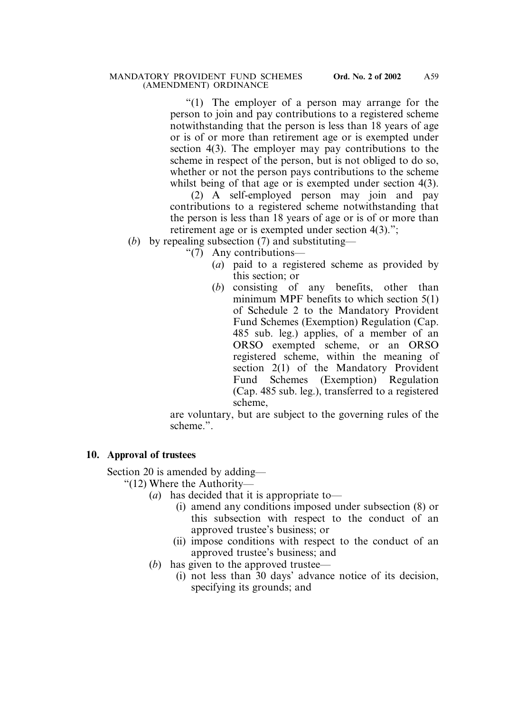"(1) The employer of a person may arrange for the person to join and pay contributions to a registered scheme notwithstanding that the person is less than 18 years of age or is of or more than retirement age or is exempted under section 4(3). The employer may pay contributions to the scheme in respect of the person, but is not obliged to do so, whether or not the person pays contributions to the scheme whilst being of that age or is exempted under section 4(3).

(2) A self-employed person may join and pay contributions to a registered scheme notwithstanding that the person is less than 18 years of age or is of or more than retirement age or is exempted under section 4(3).";

(*b*) by repealing subsection (7) and substituting—

"(7) Any contributions—

- (*a*) paid to a registered scheme as provided by this section; or
- (*b*) consisting of any benefits, other than minimum MPF benefits to which section 5(1) of Schedule 2 to the Mandatory Provident Fund Schemes (Exemption) Regulation (Cap. 485 sub. leg.) applies, of a member of an ORSO exempted scheme, or an ORSO registered scheme, within the meaning of section 2(1) of the Mandatory Provident Fund Schemes (Exemption) Regulation (Cap. 485 sub. leg.), transferred to a registered scheme,

are voluntary, but are subject to the governing rules of the scheme.".

## **10. Approval of trustees**

Section 20 is amended by adding—

"(12) Where the Authority—

- (*a*) has decided that it is appropriate to—
	- (i) amend any conditions imposed under subsection (8) or this subsection with respect to the conduct of an approved trustee's business; or
	- (ii) impose conditions with respect to the conduct of an approved trustee's business; and
- (*b*) has given to the approved trustee—
	- (i) not less than 30 days' advance notice of its decision, specifying its grounds; and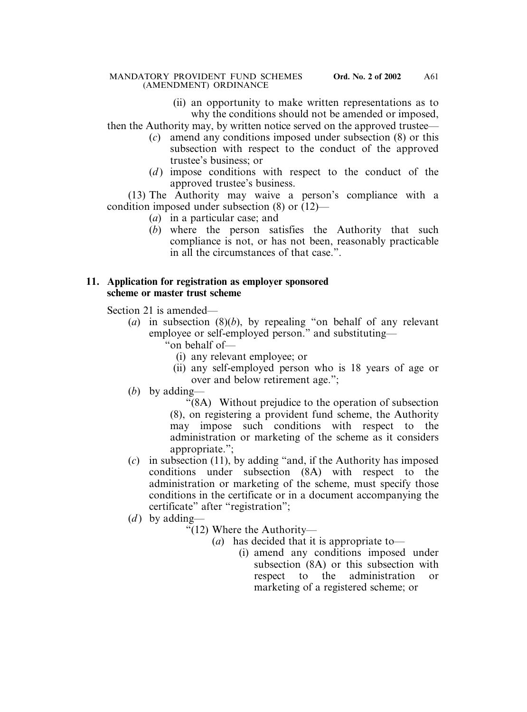(ii) an opportunity to make written representations as to why the conditions should not be amended or imposed,

then the Authority may, by written notice served on the approved trustee—

- (*c*) amend any conditions imposed under subsection (8) or this subsection with respect to the conduct of the approved trustee's business; or
- (*d*) impose conditions with respect to the conduct of the approved trustee's business.

(13) The Authority may waive a person's compliance with a condition imposed under subsection (8) or (12)—

- (*a*) in a particular case; and
- (*b*) where the person satisfies the Authority that such compliance is not, or has not been, reasonably practicable in all the circumstances of that case.".

## **11. Application for registration as employer sponsored scheme or master trust scheme**

Section 21 is amended—

- (*a*) in subsection (8)(*b*), by repealing "on behalf of any relevant employee or self-employed person." and substituting—
	- "on behalf of—
		- (i) any relevant employee; or
		- (ii) any self-employed person who is 18 years of age or over and below retirement age.";
- (*b*) by adding—

"(8A) Without prejudice to the operation of subsection (8), on registering a provident fund scheme, the Authority may impose such conditions with respect to the administration or marketing of the scheme as it considers appropriate.";

- (*c*) in subsection (11), by adding "and, if the Authority has imposed conditions under subsection (8A) with respect to the administration or marketing of the scheme, must specify those conditions in the certificate or in a document accompanying the certificate" after "registration";
- $(d)$  by adding—
	- "(12) Where the Authority—
		- (*a*) has decided that it is appropriate to—
			- (i) amend any conditions imposed under subsection (8A) or this subsection with respect to the administration or marketing of a registered scheme; or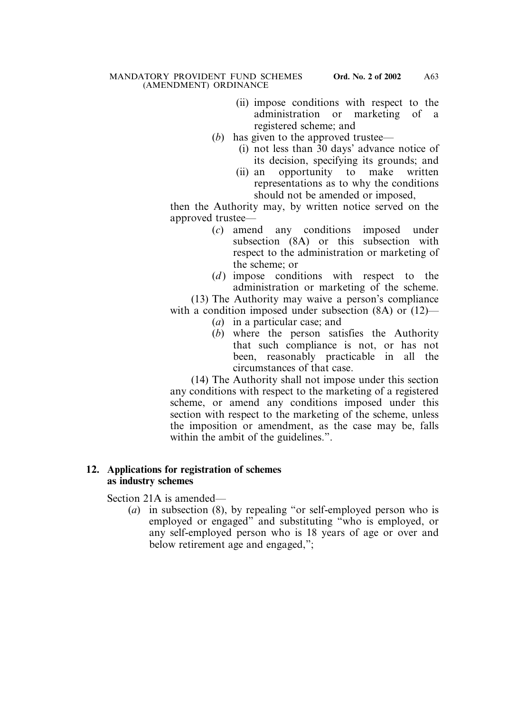- (ii) impose conditions with respect to the administration or marketing of a registered scheme; and
- (*b*) has given to the approved trustee—
	- (i) not less than 30 days' advance notice of its decision, specifying its grounds; and
	- (ii) an opportunity to make written representations as to why the conditions should not be amended or imposed,

then the Authority may, by written notice served on the approved trustee—

- (*c*) amend any conditions imposed under subsection (8A) or this subsection with respect to the administration or marketing of the scheme; or
- (*d*) impose conditions with respect to the administration or marketing of the scheme.

(13) The Authority may waive a person's compliance with a condition imposed under subsection (8A) or (12)—

- (*a*) in a particular case; and
- (*b*) where the person satisfies the Authority that such compliance is not, or has not been, reasonably practicable in all the circumstances of that case.

(14) The Authority shall not impose under this section any conditions with respect to the marketing of a registered scheme, or amend any conditions imposed under this section with respect to the marketing of the scheme, unless the imposition or amendment, as the case may be, falls within the ambit of the guidelines.".

## **12. Applications for registration of schemes as industry schemes**

Section 21A is amended—

(*a*) in subsection (8), by repealing "or self-employed person who is employed or engaged" and substituting "who is employed, or any self-employed person who is 18 years of age or over and below retirement age and engaged,";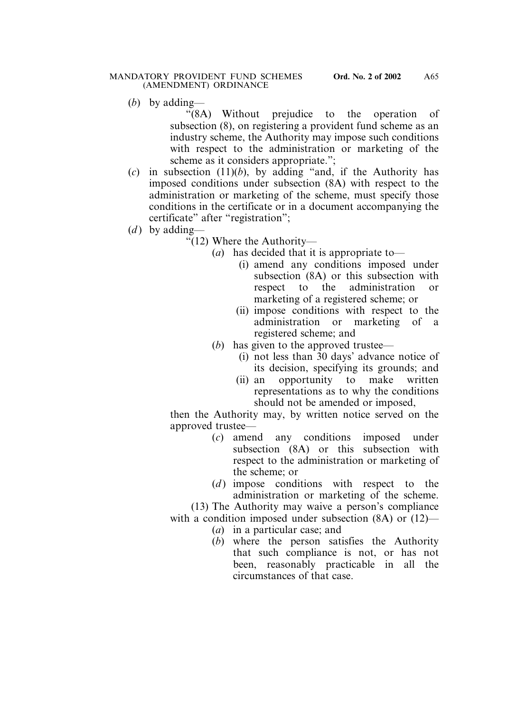(*b*) by adding—

"(8A) Without prejudice to the operation of subsection (8), on registering a provident fund scheme as an industry scheme, the Authority may impose such conditions with respect to the administration or marketing of the scheme as it considers appropriate.";

- $(c)$  in subsection  $(11)(b)$ , by adding "and, if the Authority has imposed conditions under subsection (8A) with respect to the administration or marketing of the scheme, must specify those conditions in the certificate or in a document accompanying the certificate" after "registration";
- (*d*) by adding—
	- "(12) Where the Authority—
		- (*a*) has decided that it is appropriate to—
			- (i) amend any conditions imposed under subsection (8A) or this subsection with respect to the administration or marketing of a registered scheme; or
			- (ii) impose conditions with respect to the administration or marketing of a registered scheme; and
		- (*b*) has given to the approved trustee—
			- (i) not less than 30 days' advance notice of its decision, specifying its grounds; and
			- (ii) an opportunity to make written representations as to why the conditions should not be amended or imposed,

then the Authority may, by written notice served on the approved trustee—

- (*c*) amend any conditions imposed under subsection (8A) or this subsection with respect to the administration or marketing of the scheme; or
- (*d*) impose conditions with respect to the administration or marketing of the scheme.

(13) The Authority may waive a person's compliance with a condition imposed under subsection (8A) or (12)—

- (*a*) in a particular case; and
- (*b*) where the person satisfies the Authority that such compliance is not, or has not been, reasonably practicable in all the circumstances of that case.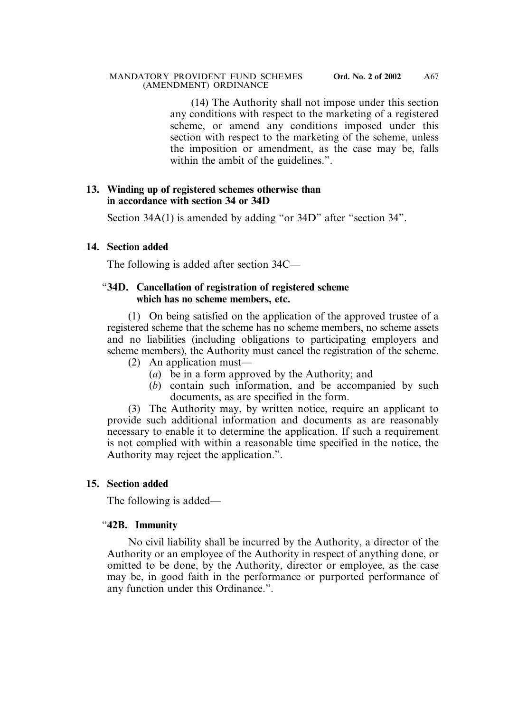(14) The Authority shall not impose under this section any conditions with respect to the marketing of a registered scheme, or amend any conditions imposed under this section with respect to the marketing of the scheme, unless the imposition or amendment, as the case may be, falls within the ambit of the guidelines.".

## **13. Winding up of registered schemes otherwise than in accordance with section 34 or 34D**

Section 34A(1) is amended by adding "or 34D" after "section 34".

# **14. Section added**

The following is added after section 34C—

# "**34D. Cancellation of registration of registered scheme which has no scheme members, etc.**

(1) On being satisfied on the application of the approved trustee of a registered scheme that the scheme has no scheme members, no scheme assets and no liabilities (including obligations to participating employers and scheme members), the Authority must cancel the registration of the scheme.

- (2) An application must—
	- (*a*) be in a form approved by the Authority; and
	- (*b*) contain such information, and be accompanied by such documents, as are specified in the form.

(3) The Authority may, by written notice, require an applicant to provide such additional information and documents as are reasonably necessary to enable it to determine the application. If such a requirement is not complied with within a reasonable time specified in the notice, the Authority may reject the application.".

# **15. Section added**

The following is added—

# "**42B. Immunity**

No civil liability shall be incurred by the Authority, a director of the Authority or an employee of the Authority in respect of anything done, or omitted to be done, by the Authority, director or employee, as the case may be, in good faith in the performance or purported performance of any function under this Ordinance.".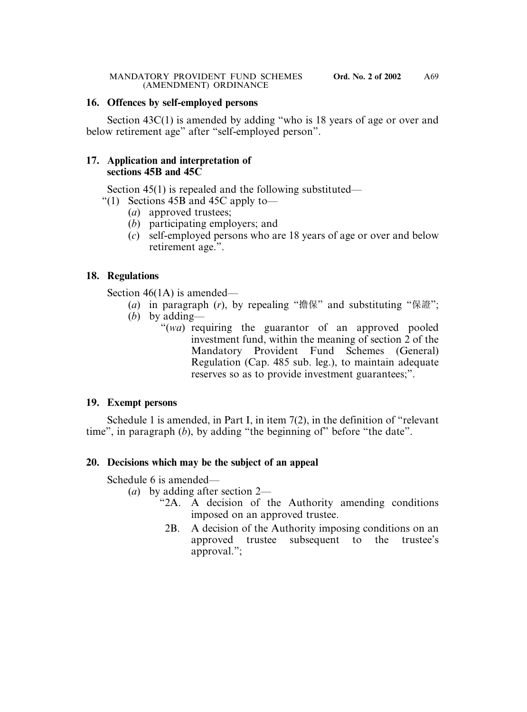## **16. Offences by self-employed persons**

Section 43C(1) is amended by adding "who is 18 years of age or over and below retirement age" after "self-employed person".

## **17. Application and interpretation of sections 45B and 45C**

Section 45(1) is repealed and the following substituted—

- "(1) Sections 45B and 45C apply to—
	- (*a*) approved trustees;
	- (*b*) participating employers; and
	- (*c*) self-employed persons who are 18 years of age or over and below retirement age.".

# **18. Regulations**

Section 46(1A) is amended—

- (*a*) in paragraph (*r*), by repealing "擔保" and substituting "保證";
- (*b*) by adding—
	- "(*wa*) requiring the guarantor of an approved pooled investment fund, within the meaning of section 2 of the Mandatory Provident Fund Schemes (General) Regulation (Cap. 485 sub. leg.), to maintain adequate reserves so as to provide investment guarantees;".

## **19. Exempt persons**

Schedule 1 is amended, in Part I, in item 7(2), in the definition of "relevant time", in paragraph (*b*), by adding "the beginning of" before "the date".

# **20. Decisions which may be the subject of an appeal**

Schedule 6 is amended—

- (*a*) by adding after section 2—
	- "2A. A decision of the Authority amending conditions imposed on an approved trustee.
		- 2B. A decision of the Authority imposing conditions on an approved trustee subsequent to the trustee's approval.";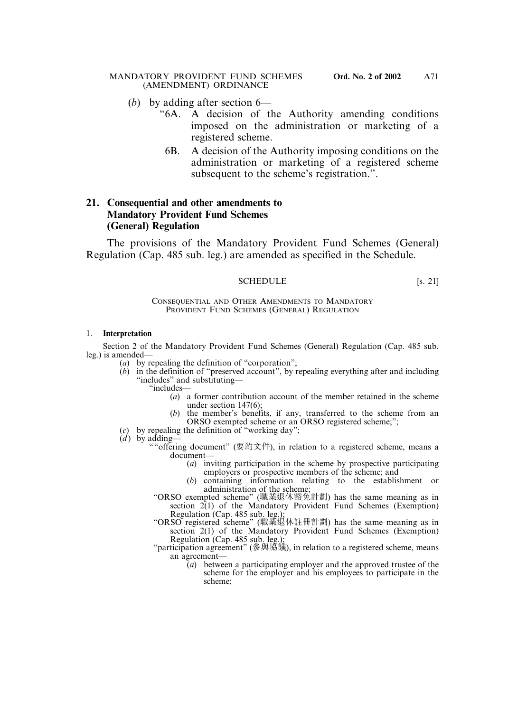- (*b*) by adding after section 6—
	- "6A. A decision of the Authority amending conditions imposed on the administration or marketing of a registered scheme.
		- 6B. A decision of the Authority imposing conditions on the administration or marketing of a registered scheme subsequent to the scheme's registration.".

## **21. Consequential and other amendments to Mandatory Provident Fund Schemes (General) Regulation**

The provisions of the Mandatory Provident Fund Schemes (General) Regulation (Cap. 485 sub. leg.) are amended as specified in the Schedule.

## SCHEDULE [s. 21]

CONSEQUENTIAL AND OTHER AMENDMENTS TO MANDATORY PROVIDENT FUND SCHEMES (GENERAL) REGULATION

## 1. **Interpretation**

Section 2 of the Mandatory Provident Fund Schemes (General) Regulation (Cap. 485 sub. leg.) is amended—

- (*a*) by repealing the definition of "corporation";
- (*b*) in the definition of "preserved account", by repealing everything after and including "includes" and substituting—
	- "includes—
		- (*a*) a former contribution account of the member retained in the scheme under section 147(6);
		- (*b*) the member's benefits, if any, transferred to the scheme from an ORSO exempted scheme or an ORSO registered scheme;";
- $(c)$  by repealing the definition of "working day";
- $\dot{d}$ ) by adding-
	- ""offering document" (要約文件), in relation to a registered scheme, means a document—
		- (*a*) inviting participation in the scheme by prospective participating employers or prospective members of the scheme; and
		- (*b*) containing information relating to the establishment or administration of the scheme;
	- "ORSO exempted scheme" (職業退休豁免計劃) has the same meaning as in section  $2(1)$  of the Mandatory Provident Fund Schemes (Exemption) Regulation (Cap. 485 sub. leg.);
	- "ORSO registered scheme" (職業退休註冊計劃) has the same meaning as in section 2(1) of the Mandatory Provident Fund Schemes (Exemption) Regulation (Cap. 485 sub. leg.);
	- "participation agreement" (參與協議), in relation to a registered scheme, means an agreement—
		- (*a*) between a participating employer and the approved trustee of the scheme for the employer and his employees to participate in the scheme;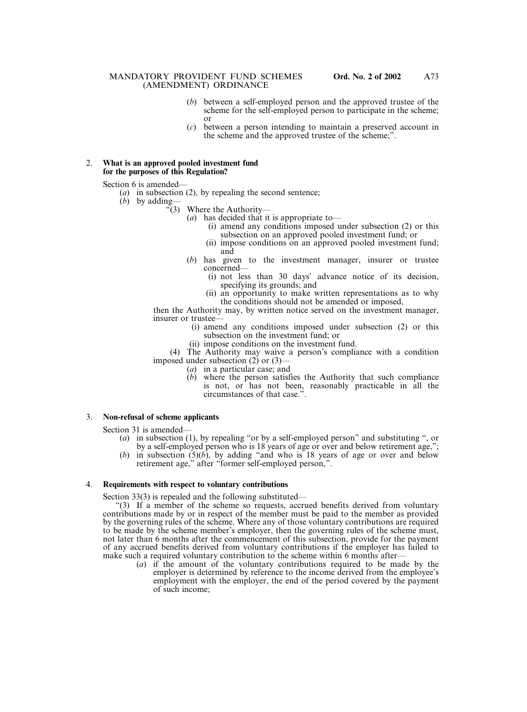- (*b*) between a self-employed person and the approved trustee of the scheme for the self-employed person to participate in the scheme; or
- (*c*) between a person intending to maintain a preserved account in the scheme and the approved trustee of the scheme;".

### 2. **What is an approved pooled investment fund for the purposes of this Regulation?**

Section 6 is amended—

- (*a*) in subsection (2), by repealing the second sentence;
- (*b*) by adding—
	- "(3) Where the Authority—
		- (*a*) has decided that it is appropriate to—
			- (i) amend any conditions imposed under subsection (2) or this subsection on an approved pooled investment fund; or
			- (ii) impose conditions on an approved pooled investment fund; and
		- (*b*) has given to the investment manager, insurer or trustee concerned—
			- (i) not less than 30 days' advance notice of its decision, specifying its grounds; and
			- (ii) an opportunity to make written representations as to why the conditions should not be amended or imposed,

then the Authority may, by written notice served on the investment manager, insurer or trustee—

- (i) amend any conditions imposed under subsection (2) or this subsection on the investment fund; or
- (ii) impose conditions on the investment fund.

(4) The Authority may waive a person's compliance with a condition imposed under subsection (2) or (3)—

- (*a*) in a particular case; and
- (*b*) where the person satisfies the Authority that such compliance is not, or has not been, reasonably practicable in all the circumstances of that case.".

## 3. **Non-refusal of scheme applicants**

Section 31 is amended—

- (*a*) in subsection (1), by repealing "or by a self-employed person" and substituting ", or by a self-employed person who is 18 years of age or over and below retirement age,";
- (*b*) in subsection (5)(*b*), by adding "and who is 18 years of age or over and below retirement age," after "former self-employed person,".

#### 4. **Requirements with respect to voluntary contributions**

Section 33(3) is repealed and the following substituted—

"(3) If a member of the scheme so requests, accrued benefits derived from voluntary contributions made by or in respect of the member must be paid to the member as provided by the governing rules of the scheme. Where any of those voluntary contributions are required to be made by the scheme member's employer, then the governing rules of the scheme must, not later than 6 months after the commencement of this subsection, provide for the payment of any accrued benefits derived from voluntary contributions if the employer has failed to make such a required voluntary contribution to the scheme within 6 months after—

(*a*) if the amount of the voluntary contributions required to be made by the employer is determined by reference to the income derived from the employee's employment with the employer, the end of the period covered by the payment of such income;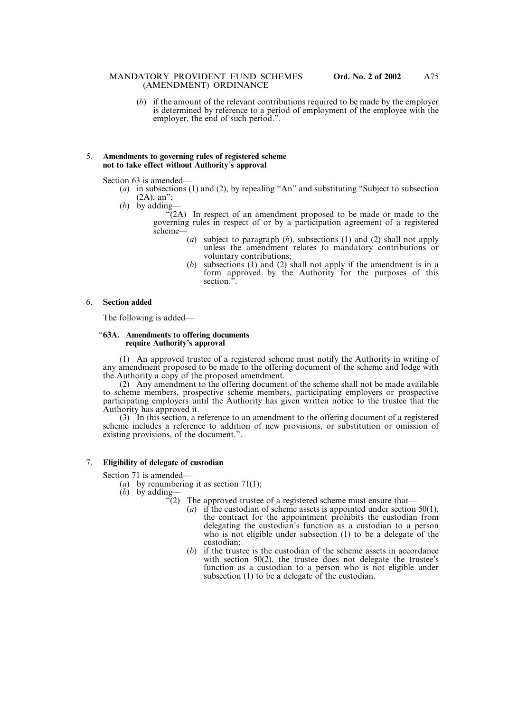(*b*) if the amount of the relevant contributions required to be made by the employer is determined by reference to a period of employment of the employee with the employer, the end of such period.".

#### 5. **Amendments to governing rules of registered scheme not to take effect without Authority**'**s approval**

Section 63 is amended—

- (*a*) in subsections (1) and (2), by repealing "An" and substituting "Subject to subsection  $(2A)$ , an";
- (*b*) by adding—

 $\sqrt{\frac{2A}{A}}$  In respect of an amendment proposed to be made or made to the governing rules in respect of or by a participation agreement of a registered scheme—

- (*a*) subject to paragraph (*b*), subsections (1) and (2) shall not apply unless the amendment relates to mandatory contributions or voluntary contributions;
- (*b*) subsections (1) and (2) shall not apply if the amendment is in a form approved by the Authority for the purposes of this section."

### 6. **Section added**

The following is added—

### "**63A. Amendments to offering documents require Authority's approval**

(1) An approved trustee of a registered scheme must notify the Authority in writing of any amendment proposed to be made to the offering document of the scheme and lodge with the Authority a copy of the proposed amendment.

(2) Any amendment to the offering document of the scheme shall not be made available to scheme members, prospective scheme members, participating employers or prospective participating employers until the Authority has given written notice to the trustee that the Authority has approved it.

(3) In this section, a reference to an amendment to the offering document of a registered scheme includes a reference to addition of new provisions, or substitution or omission of existing provisions, of the document.".

### 7. **Eligibility of delegate of custodian**

Section 71 is amended—

(*a*) by renumbering it as section 71(1);

- (*b*) by adding— $\frac{6}{2}$ 
	- The approved trustee of a registered scheme must ensure that—
		- (*a*) if the custodian of scheme assets is appointed under section 50(1), the contract for the appointment prohibits the custodian from delegating the custodian's function as a custodian to a person who is not eligible under subsection (1) to be a delegate of the custodian;
		- (*b*) if the trustee is the custodian of the scheme assets in accordance with section 50(2), the trustee does not delegate the trustee's function as a custodian to a person who is not eligible under subsection (1) to be a delegate of the custodian.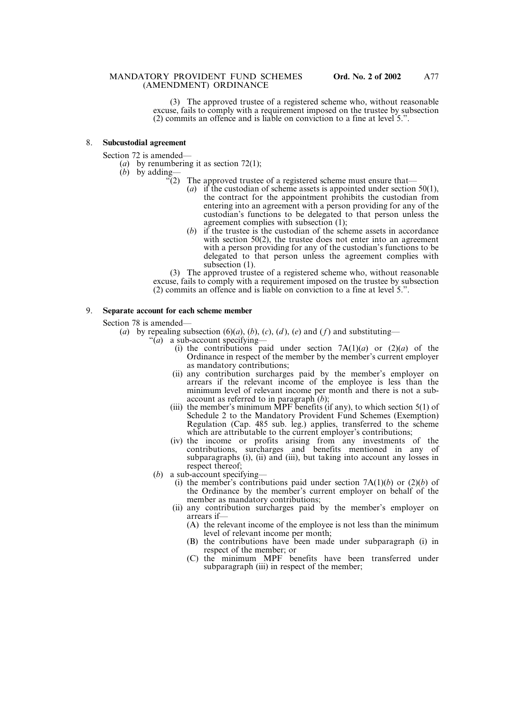(3) The approved trustee of a registered scheme who, without reasonable excuse, fails to comply with a requirement imposed on the trustee by subsection (2) commits an offence and is liable on conviction to a fine at level 5.".

#### 8. **Subcustodial agreement**

Section 72 is amended—

- (*a*) by renumbering it as section 72(1);
- (*b*) by adding—
	- $\sqrt{2}$ . The approved trustee of a registered scheme must ensure that—
		- (*a*) if the custodian of scheme assets is appointed under section 50(1), the contract for the appointment prohibits the custodian from entering into an agreement with a person providing for any of the custodian's functions to be delegated to that person unless the agreement complies with subsection (1);
		- (*b*) if the trustee is the custodian of the scheme assets in accordance with section 50(2), the trustee does not enter into an agreement with a person providing for any of the custodian's functions to be delegated to that person unless the agreement complies with subsection (1).

(3) The approved trustee of a registered scheme who, without reasonable excuse, fails to comply with a requirement imposed on the trustee by subsection (2) commits an offence and is liable on conviction to a fine at level 5.".

#### 9. **Separate account for each scheme member**

Section 78 is amended—

- (*a*) by repealing subsection (6)(*a*), (*b*), (*c*), (*d*), (*e*) and (*f*) and substituting—
	- "(*a*) a sub-account specifying—
		- (i) the contributions paid under section  $7A(1)(a)$  or  $(2)(a)$  of the Ordinance in respect of the member by the member's current employer as mandatory contributions;
		- (ii) any contribution surcharges paid by the member's employer on arrears if the relevant income of the employee is less than the minimum level of relevant income per month and there is not a subaccount as referred to in paragraph (*b*);
		- (iii) the member's minimum MPF benefits (if any), to which section  $5(1)$  of Schedule 2 to the Mandatory Provident Fund Schemes (Exemption) Regulation (Cap. 485 sub. leg.) applies, transferred to the scheme which are attributable to the current employer's contributions;
		- (iv) the income or profits arising from any investments of the contributions, surcharges and benefits mentioned in any of subparagraphs (i), (ii) and (iii), but taking into account any losses in respect thereof;
	- (*b*) a sub-account specifying—
		- (i) the member's contributions paid under section  $7A(1)(b)$  or  $(2)(b)$  of the Ordinance by the member's current employer on behalf of the member as mandatory contributions;
		- (ii) any contribution surcharges paid by the member's employer on arrears if—
			- (A) the relevant income of the employee is not less than the minimum level of relevant income per month;
			- (B) the contributions have been made under subparagraph (i) in respect of the member; or
			- (C) the minimum MPF benefits have been transferred under subparagraph (iii) in respect of the member;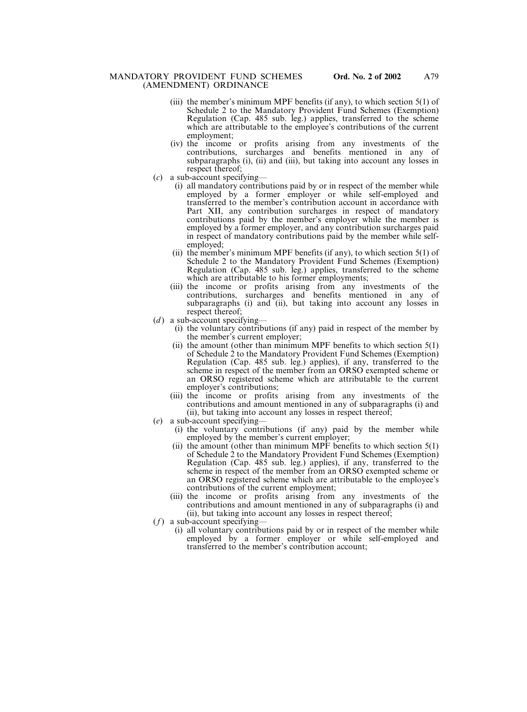- (iii) the member's minimum MPF benefits (if any), to which section  $5(1)$  of Schedule 2 to the Mandatory Provident Fund Schemes (Exemption) Regulation (Cap. 485 sub. leg.) applies, transferred to the scheme which are attributable to the employee's contributions of the current employment;
- (iv) the income or profits arising from any investments of the contributions, surcharges and benefits mentioned in any of subparagraphs (i), (ii) and (iii), but taking into account any losses in respect thereof;
- (*c*) a sub-account specifying—
	- (i) all mandatory contributions paid by or in respect of the member while employed by a former employer or while self-employed and transferred to the member's contribution account in accordance with Part XII, any contribution surcharges in respect of mandatory contributions paid by the member's employer while the member is employed by a former employer, and any contribution surcharges paid in respect of mandatory contributions paid by the member while selfemployed;
	- (ii) the member's minimum MPF benefits (if any), to which section  $5(1)$  of Schedule 2 to the Mandatory Provident Fund Schemes (Exemption) Regulation (Cap. 485 sub. leg.) applies, transferred to the scheme which are attributable to his former employments;
	- (iii) the income or profits arising from any investments of the contributions, surcharges and benefits mentioned in any of subparagraphs (i) and (ii), but taking into account any losses in respect thereof;
- $(d)$  a sub-account specifying-
	- (i) the voluntary contributions (if any) paid in respect of the member by the member's current employer;
	- (ii) the amount (other than minimum MPF benefits to which section 5(1) of Schedule 2 to the Mandatory Provident Fund Schemes (Exemption) Regulation (Cap. 485 sub. leg.) applies), if any, transferred to the scheme in respect of the member from an ORSO exempted scheme or an ORSO registered scheme which are attributable to the current employer's contributions;
	- (iii) the income or profits arising from any investments of the contributions and amount mentioned in any of subparagraphs (i) and (ii), but taking into account any losses in respect thereof;
- (*e*) a sub-account specifying—
	- (i) the voluntary contributions (if any) paid by the member while employed by the member's current employer;
		- (ii) the amount (other than minimum MPF benefits to which section  $5(1)$ ) of Schedule 2 to the Mandatory Provident Fund Schemes (Exemption) Regulation (Cap. 485 sub. leg.) applies), if any, transferred to the scheme in respect of the member from an ORSO exempted scheme or an ORSO registered scheme which are attributable to the employee's contributions of the current employment;
	- (iii) the income or profits arising from any investments of the contributions and amount mentioned in any of subparagraphs (i) and (ii), but taking into account any losses in respect thereof;
- (*f*) a sub-account specifying—
	- (i) all voluntary contributions paid by or in respect of the member while employed by a former employer or while self-employed and transferred to the member's contribution account;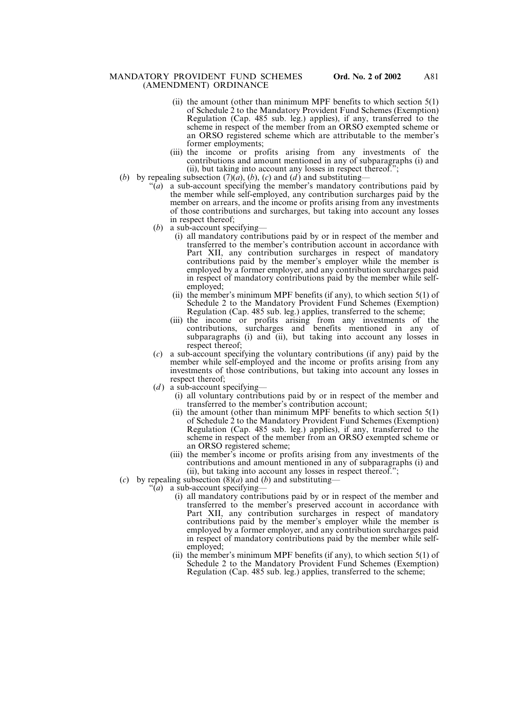- (ii) the amount (other than minimum MPF benefits to which section  $5(1)$ of Schedule 2 to the Mandatory Provident Fund Schemes (Exemption) Regulation (Cap. 485 sub. leg.) applies), if any, transferred to the scheme in respect of the member from an ORSO exempted scheme or an ORSO registered scheme which are attributable to the member's former employments;
- (iii) the income or profits arising from any investments of the contributions and amount mentioned in any of subparagraphs (i) and (ii), but taking into account any losses in respect thereof.";
- (*b*) by repealing subsection  $(7)(a)$ ,  $(b)$ ,  $(c)$  and  $(d)$  and substituting-
	- "(*a*) a sub-account specifying the member's mandatory contributions paid by the member while self-employed, any contribution surcharges paid by the member on arrears, and the income or profits arising from any investments of those contributions and surcharges, but taking into account any losses in respect thereof;
	- (*b*) a sub-account specifying—
		- (i) all mandatory contributions paid by or in respect of the member and transferred to the member's contribution account in accordance with Part XII, any contribution surcharges in respect of mandatory contributions paid by the member's employer while the member is employed by a former employer, and any contribution surcharges paid in respect of mandatory contributions paid by the member while selfemployed;
		- (ii) the member's minimum MPF benefits (if any), to which section  $5(1)$  of Schedule 2 to the Mandatory Provident Fund Schemes (Exemption) Regulation (Cap. 485 sub. leg.) applies, transferred to the scheme;
		- (iii) the income or profits arising from any investments of the contributions, surcharges and benefits mentioned in any of subparagraphs (i) and (ii), but taking into account any losses in respect thereof;
	- (*c*) a sub-account specifying the voluntary contributions (if any) paid by the member while self-employed and the income or profits arising from any investments of those contributions, but taking into account any losses in respect thereof;
	- $(d)$  a sub-account specifying-
		- (i) all voluntary contributions paid by or in respect of the member and transferred to the member's contribution account;
		- (ii) the amount (other than minimum MPF benefits to which section  $5(1)$ of Schedule 2 to the Mandatory Provident Fund Schemes (Exemption) Regulation (Cap. 485 sub. leg.) applies), if any, transferred to the scheme in respect of the member from an ORSO exempted scheme or an ORSO registered scheme;
		- (iii) the member's income or profits arising from any investments of the contributions and amount mentioned in any of subparagraphs (i) and (ii), but taking into account any losses in respect thereof.";
- (*c*) by repealing subsection (8)(*a*) and (*b*) and substituting—
	- "(*a*) a sub-account specifying—
		- (i) all mandatory contributions paid by or in respect of the member and transferred to the member's preserved account in accordance with Part XII, any contribution surcharges in respect of mandatory contributions paid by the member's employer while the member is employed by a former employer, and any contribution surcharges paid in respect of mandatory contributions paid by the member while selfemployed;
		- (ii) the member's minimum MPF benefits (if any), to which section  $5(1)$  of Schedule 2 to the Mandatory Provident Fund Schemes (Exemption) Regulation (Cap. 485 sub. leg.) applies, transferred to the scheme;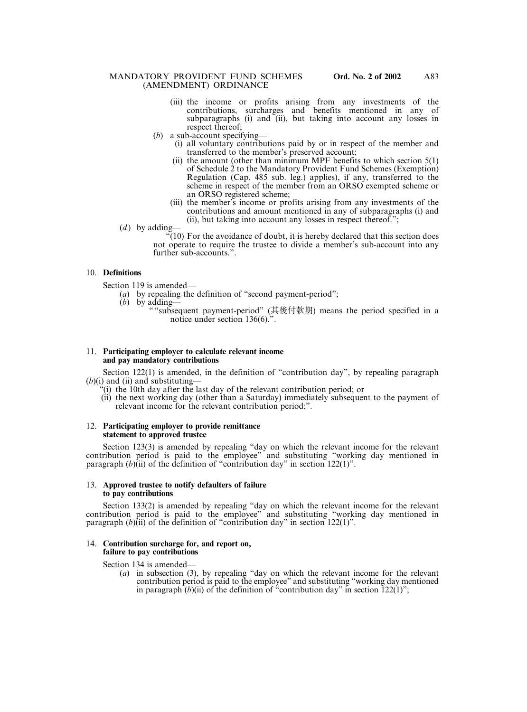- (iii) the income or profits arising from any investments of the contributions, surcharges and benefits mentioned in any of subparagraphs (i) and (ii), but taking into account any losses in respect thereof;
- (*b*) a sub-account specifying—
	- (i) all voluntary contributions paid by or in respect of the member and transferred to the member's preserved account;
	- (ii) the amount (other than minimum MPF benefits to which section  $5(1)$ ) of Schedule 2 to the Mandatory Provident Fund Schemes (Exemption) Regulation (Cap. 485 sub. leg.) applies), if any, transferred to the scheme in respect of the member from an ORSO exempted scheme or an ORSO registered scheme;
	- (iii) the member's income or profits arising from any investments of the contributions and amount mentioned in any of subparagraphs (i) and (ii), but taking into account any losses in respect thereof.";
- $(d)$  by adding-

 $\sqrt[2^n]{(10)}$  For the avoidance of doubt, it is hereby declared that this section does not operate to require the trustee to divide a member's sub-account into any further sub-accounts.".

## 10. **Definitions**

Section 119 is amended—

- (*a*) by repealing the definition of "second payment-period";
- (*b*) by adding—
	- " "subsequent payment-period" (其後付款期) means the period specified in a notice under section 136(6).".

#### 11. **Participating employer to calculate relevant income and pay mandatory contributions**

Section 122(1) is amended, in the definition of "contribution day", by repealing paragraph  $(b)(i)$  and (ii) and substituting—

- "(i) the 10th day after the last day of the relevant contribution period; or
- (ii) the next working day (other than a Saturday) immediately subsequent to the payment of relevant income for the relevant contribution period;".

#### 12. **Participating employer to provide remittance statement to approved trustee**

Section 123(3) is amended by repealing "day on which the relevant income for the relevant contribution period is paid to the employee" and substituting "working day mentioned in paragraph (*b*)(ii) of the definition of "contribution day" in section 122(1)".

### 13. **Approved trustee to notify defaulters of failure to pay contributions**

Section 133(2) is amended by repealing "day on which the relevant income for the relevant contribution period is paid to the employee" and substituting "working day mentioned in paragraph (*b*)(ii) of the definition of "contribution day" in section 122(1)".

### 14. **Contribution surcharge for, and report on, failure to pay contributions**

Section 134 is amended—

(*a*) in subsection (3), by repealing "day on which the relevant income for the relevant contribution period is paid to the employee" and substituting "working day mentioned in paragraph (*b*)(ii) of the definition of "contribution day" in section 122(1)";